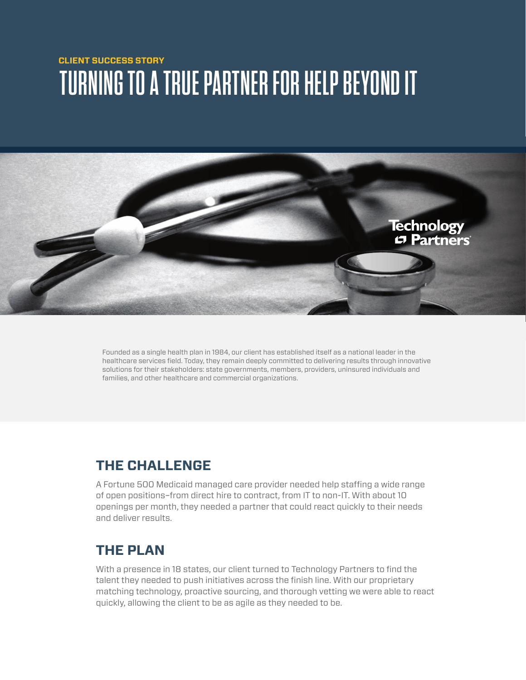## **CLIENT SUCCESS STORY TURNING TO A TRUE PARTNER FOR HELP BEYOND IT**



Founded as a single health plan in 1984, our client has established itself as a national leader in the healthcare services field. Today, they remain deeply committed to delivering results through innovative solutions for their stakeholders: state governments, members, providers, uninsured individuals and families, and other healthcare and commercial organizations.

## **THE CHALLENGE**

A Fortune 500 Medicaid managed care provider needed help staffing a wide range of open positions–from direct hire to contract, from IT to non-IT. With about 10 openings per month, they needed a partner that could react quickly to their needs and deliver results.

## **THE PLAN**

With a presence in 18 states, our client turned to Technology Partners to find the talent they needed to push initiatives across the finish line. With our proprietary matching technology, proactive sourcing, and thorough vetting we were able to react quickly, allowing the client to be as agile as they needed to be.